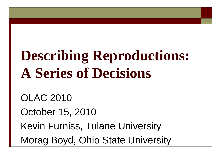# **Describing Reproductions: A Series of Decisions**

OLAC 2010 October 15, 2010 Kevin Furniss, Tulane University Morag Boyd, Ohio State University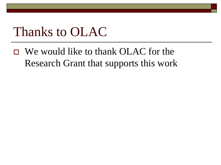#### Thanks to OLAC

 $\Box$  We would like to thank OLAC for the Research Grant that supports this work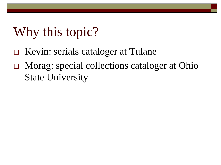# Why this topic?

- Kevin: serials cataloger at Tulane
- Morag: special collections cataloger at Ohio State University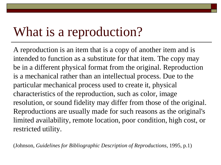### What is a reproduction?

A reproduction is an item that is a copy of another item and is intended to function as a substitute for that item. The copy may be in a different physical format from the original. Reproduction is a mechanical rather than an intellectual process. Due to the particular mechanical process used to create it, physical characteristics of the reproduction, such as color, image resolution, or sound fidelity may differ from those of the original. Reproductions are usually made for such reasons as the original's limited availability, remote location, poor condition, high cost, or restricted utility.

(Johnson, *Guidelines for Bibliographic Description of Reproductions*, 1995, p.1)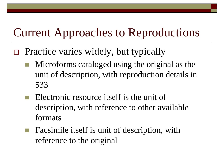#### Current Approaches to Reproductions

- $\Box$  Practice varies widely, but typically
	- Microforms cataloged using the original as the unit of description, with reproduction details in 533
	- Electronic resource itself is the unit of description, with reference to other available formats
	- Facsimile itself is unit of description, with reference to the original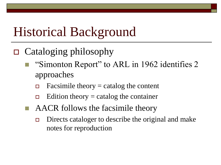# Historical Background

- $\Box$  Cataloging philosophy
	- "Simonton Report" to ARL in 1962 identifies 2 approaches
		- $\Box$  Facsimile theory = catalog the content
		- $\Box$  Edition theory = catalog the container
	- AACR follows the facsimile theory
		- □ Directs cataloger to describe the original and make notes for reproduction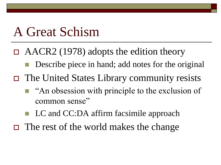#### A Great Schism

- $\Box$  AACR2 (1978) adopts the edition theory
	- Describe piece in hand; add notes for the original
- The United States Library community resists
	- $\blacksquare$  "An obsession with principle to the exclusion of common sense"
	- LC and CC:DA affirm facsimile approach
- $\Box$  The rest of the world makes the change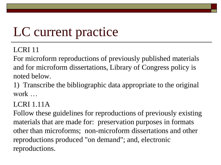# LC current practice

#### LCRI 11

For microform reproductions of previously published materials and for microform dissertations, Library of Congress policy is noted below.

1) Transcribe the bibliographic data appropriate to the original work …

LCRI 1.11A

Follow these guidelines for reproductions of previously existing materials that are made for: preservation purposes in formats other than microforms; non-microform dissertations and other reproductions produced "on demand"; and, electronic reproductions.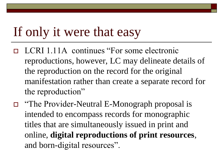#### If only it were that easy

- □ LCRI 1.11A continues "For some electronic reproductions, however, LC may delineate details of the reproduction on the record for the original manifestation rather than create a separate record for the reproduction"
- "The Provider-Neutral E-Monograph proposal is intended to encompass records for monographic titles that are simultaneously issued in print and online, **digital reproductions of print resources**, and born-digital resources".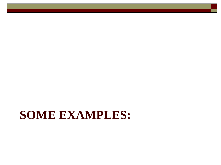#### **SOME EXAMPLES:**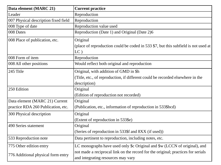| Data element (MARC 21)               | <b>Current practice</b>                                                                                                |
|--------------------------------------|------------------------------------------------------------------------------------------------------------------------|
| Leader                               | Reproduction                                                                                                           |
| 007 Physical description fixed field | Reproduction                                                                                                           |
| 008 Type of date                     | Reproduction value used                                                                                                |
| 008 Dates                            | Reproduction (Date 1) and Original (Date 2)6                                                                           |
| 008 Place of publication, etc.       | Original                                                                                                               |
|                                      | (place of reproduction could be coded in 533 \$7, but this subfield is not used at<br>$LC$ )                           |
| 008 Form of item                     | Reproduction                                                                                                           |
| 008 All other positions              | Would reflect both original and reproduction                                                                           |
| 245 Title                            | Original, with addition of GMD in \$h                                                                                  |
|                                      | (Title, etc., of reproduction, if different could be recorded elsewhere in the                                         |
|                                      | description)                                                                                                           |
| 250 Edition                          | Original                                                                                                               |
|                                      | (Edition of reproduction not recorded)                                                                                 |
| Data element (MARC 21) Current       | Original                                                                                                               |
| practice RDA 260 Publication, etc.   | (Publication, etc., information of reproduction in 533\$bcd)                                                           |
| 300 Physical description             | Original                                                                                                               |
|                                      | (Extent of reproduction in 533\$e)                                                                                     |
| 490 Series statement                 | Original                                                                                                               |
|                                      | (Series of reproduction in 533\$f and 8XX (if used))                                                                   |
| 533 Reproduction note                | Data pertinent to reproduction, including notes, etc.                                                                  |
| 775 Other edition entry              | LC monographs have used only \$c Original and \$w (LCCN of original), and                                              |
| 776 Additional physical form entry   | not made a reciprocal link on the record for the original; practices for serials<br>and integrating resources may vary |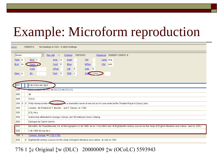# Example: Microform reproduction

| <b>DOLC</b>  |   | 15582014       |                                                                                                                                                                                          |  |             |                                  | No holdings in OSU - 4 other holdings |                         |            |          |                  |
|--------------|---|----------------|------------------------------------------------------------------------------------------------------------------------------------------------------------------------------------------|--|-------------|----------------------------------|---------------------------------------|-------------------------|------------|----------|------------------|
| <b>Books</b> |   |                | $\blacktriangledown$                                                                                                                                                                     |  | Rec stat    | $\mathbb C$                      | Entered                               | 19870423                |            | Replaced | 20080611204521.9 |
| Type a       |   |                | ELVI-                                                                                                                                                                                    |  |             | Srce d                           | <b>Audn</b>                           | C <sub>tr1</sub>        |            | Lang eng |                  |
| <b>BLvI</b>  | m |                | Form a                                                                                                                                                                                   |  | Conf        | $\theta$                         | Biog                                  | <b>MRec</b>             |            | $C$ try  | enk              |
|              |   |                | Cont                                                                                                                                                                                     |  | GPub        |                                  | LitF                                  | $\theta$<br><b>Indx</b> | $\theta$   |          |                  |
| Desc a       |   |                | IIIs                                                                                                                                                                                     |  | <b>Fest</b> | $\begin{array}{c} 0 \end{array}$ | DtSt                                  | S.                      | Dates 1760 |          |                  |
|              |   |                |                                                                                                                                                                                          |  |             |                                  |                                       |                         |            |          |                  |
| 007          |   |                | #bd#da#ef#gb                                                                                                                                                                             |  |             |                                  |                                       |                         |            |          |                  |
|              |   |                | <b>MUU TEMUU TU UCL ‡d OCLCQ ‡d OCLCG</b>                                                                                                                                                |  |             |                                  |                                       |                         |            |          |                  |
| 040          |   |                |                                                                                                                                                                                          |  |             |                                  |                                       |                         |            |          |                  |
| 090          |   |                | $+b$                                                                                                                                                                                     |  |             |                                  |                                       |                         |            |          |                  |
| 049          |   |                | osuu                                                                                                                                                                                     |  |             |                                  |                                       |                         |            |          |                  |
| 245 0        |   | $\overline{0}$ | Polly Honeycombe + [microform] Ab a dramatick novel of one act as it is now acted at the Theatre-Royal in Drury-Lane.                                                                    |  |             |                                  |                                       |                         |            |          |                  |
| 260          |   |                | London: #b Printed for T. Becket  and T. Davies, #c 1760.                                                                                                                                |  |             |                                  |                                       |                         |            |          |                  |
| 300          |   |                | [12], 44 p.                                                                                                                                                                              |  |             |                                  |                                       |                         |            |          |                  |
| 500          |   |                | Authorship attributed to George Colman, pre '56 National Union Catalog.                                                                                                                  |  |             |                                  |                                       |                         |            |          |                  |
| 500          |   |                | Epilogue by David Garrick.                                                                                                                                                               |  |             |                                  |                                       |                         |            |          |                  |
| 533          |   |                | Microfilm, #b Charlottesville, Va. #c Micrographics II, #d 1985. #e on 1 microfilm reel. # (Eighteenth century sources for the study of English literature and culture ; reel no. 520.). |  |             |                                  |                                       |                         |            |          |                  |
| 539          |   |                | s #b 1985 #d vau #e n                                                                                                                                                                    |  |             |                                  |                                       |                         |            |          |                  |
| $700 - 1$    |   |                | Colman, George, #d 1732-1794.                                                                                                                                                            |  |             |                                  |                                       |                         |            |          |                  |
| 830          |   | 0              | Eighteenth-century sources for the study of English literature and culture ; #v reel no. 520.                                                                                            |  |             |                                  |                                       |                         |            |          |                  |

#### 776 1 ‡c Original ‡w (DLC) 20000009 ‡w (OCoLC) 5593943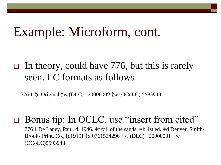#### Example: Microform, cont.

#### $\Box$  In theory, could have 776, but this is rarely seen. LC formats as follows

776 1 ‡c Original ‡w (DLC) 20000009 ‡w (OCoLC) 5593943

#### □ Bonus tip: In OCLC, use "insert from cited"

776 1 De Laney, Paul, d. 1946. ǂt toll of the sands. ǂb 1st ed. ǂd Denver, Smith-Brooks Print. Co., [c1919] ǂz 0761534296 ǂw (DLC) 20000001 ǂw (OCoLC)5593943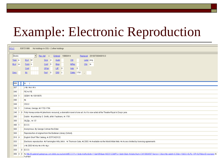# Example: Electronic Reproduction

| <b>OCLC</b> | 535721986            |                                                                                                                                                               | No holdings in OSU - 2 other holdings |             |      |                |                  |              |           |                                                                                                                                                                                                       |
|-------------|----------------------|---------------------------------------------------------------------------------------------------------------------------------------------------------------|---------------------------------------|-------------|------|----------------|------------------|--------------|-----------|-------------------------------------------------------------------------------------------------------------------------------------------------------------------------------------------------------|
| Books       |                      | $\blacktriangledown$                                                                                                                                          | Rec stat                              | $\mathbb C$ |      |                | Entered 19860414 |              |           | Replaced 20100730040018.3                                                                                                                                                                             |
| Type a      | ELVI M               |                                                                                                                                                               | <b>Srce</b>                           | -d          | Audn |                | $C$ trl          |              | Lang eng  |                                                                                                                                                                                                       |
| BLvI m      | Form o               |                                                                                                                                                               | Conf                                  | $\theta$    | Biog |                | MRec             |              | $Ctry$ ie |                                                                                                                                                                                                       |
|             | Cont                 |                                                                                                                                                               | GPub                                  |             | LitE | $\overline{0}$ |                  | $\ln dx = 0$ |           |                                                                                                                                                                                                       |
| Desc        | IIIs                 |                                                                                                                                                               | <b>Fest</b>                           | $\theta$    |      | $DtSt$ s       |                  | Dates 1761   | $\lambda$ |                                                                                                                                                                                                       |
|             |                      |                                                                                                                                                               |                                       |             |      |                |                  |              |           |                                                                                                                                                                                                       |
|             |                      |                                                                                                                                                               |                                       |             |      |                |                  |              |           |                                                                                                                                                                                                       |
| 006         | $\mathsf{Im}$<br>- i |                                                                                                                                                               |                                       |             |      |                |                  |              |           |                                                                                                                                                                                                       |
| 007         | $c$ #b $r$ #e n #l n |                                                                                                                                                               |                                       |             |      |                |                  |              |           |                                                                                                                                                                                                       |
| 040         | FIE #c FIE           |                                                                                                                                                               |                                       |             |      |                |                  |              |           |                                                                                                                                                                                                       |
| $029-1$     |                      | GEBAY #b 10019976                                                                                                                                             |                                       |             |      |                |                  |              |           |                                                                                                                                                                                                       |
| 090         | $\dagger$            |                                                                                                                                                               |                                       |             |      |                |                  |              |           |                                                                                                                                                                                                       |
| 049         | osuu                 |                                                                                                                                                               |                                       |             |      |                |                  |              |           |                                                                                                                                                                                                       |
| $100 - 1$   |                      | Colman, George, #d 1732-1794.                                                                                                                                 |                                       |             |      |                |                  |              |           |                                                                                                                                                                                                       |
|             |                      | 245 1 0 Polly Honeycombe #h [electronic resource], a dramatick novel of one act. As it is now acted at the Theatre-Royal in Drury-Lane.                       |                                       |             |      |                |                  |              |           |                                                                                                                                                                                                       |
| 260         |                      | Dublin: #b printed by S. Smith, at Mr. Faulkners, #c 1761.                                                                                                    |                                       |             |      |                |                  |              |           |                                                                                                                                                                                                       |
| 300         | 38,[2]p.; ‡c 12°.    |                                                                                                                                                               |                                       |             |      |                |                  |              |           |                                                                                                                                                                                                       |
| 490 1       | ECCO.                |                                                                                                                                                               |                                       |             |      |                |                  |              |           |                                                                                                                                                                                                       |
| 500         |                      | Anonymous, By George Colman the Elder.                                                                                                                        |                                       |             |      |                |                  |              |           |                                                                                                                                                                                                       |
| 500         |                      | Reproduction of original from the Bodleian Library (Oxford).                                                                                                  |                                       |             |      |                |                  |              |           |                                                                                                                                                                                                       |
| 510 4       |                      | English Short Title Catalog, #c ESTCN23122.                                                                                                                   |                                       |             |      |                |                  |              |           |                                                                                                                                                                                                       |
| 533         |                      | Electronic reproduction. #b Farmington Hills, Mich.: +c Thomson Gale, +d 2003. +n Available via the World Wide Web. +n Access limited by licensing agreements |                                       |             |      |                |                  |              |           |                                                                                                                                                                                                       |
| 539         |                      | s #b 2003 #d miu #e n #f n #g s                                                                                                                               |                                       |             |      |                |                  |              |           |                                                                                                                                                                                                       |
| 830         | 0 ECCO.              |                                                                                                                                                               |                                       |             |      |                |                  |              |           |                                                                                                                                                                                                       |
| 856 4 0     |                      |                                                                                                                                                               |                                       |             |      |                |                  |              |           | #u http://0-galenet.galegroup.com.biblio.eui.eu/servlet/ECCO?c=1&stp=Author&ste=11⁡=BN&ae=N023122&tiPG=1ⅆ=0&dc=fic&docNum=CW106645971&vrsn=1.0&srchtp=a&d4=0.33&n=10&SU=DLRL+OR+DLRI&locID=europeo #z |
|             | Full-text            |                                                                                                                                                               |                                       |             |      |                |                  |              |           |                                                                                                                                                                                                       |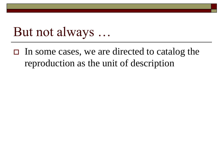#### But not always …

 $\Box$  In some cases, we are directed to catalog the reproduction as the unit of description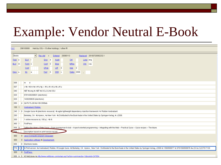#### Example: Vendor Neutral E-Book

| <b>CLC</b>       |                | 298193808<br>Held by OSU - 15 other holdings; 1 other IR                                                                                                                                                                       |  |  |  |  |  |  |
|------------------|----------------|--------------------------------------------------------------------------------------------------------------------------------------------------------------------------------------------------------------------------------|--|--|--|--|--|--|
| Books            |                | $\blacktriangledown$<br>Entered 20090113<br>Replaced 20100720092232.1<br>Rec stat<br>$\mathbb{C}$                                                                                                                              |  |  |  |  |  |  |
| Type a           |                | E[V]<br>- d<br>Srce<br>Audn<br>$C$ trl<br>Lang eng                                                                                                                                                                             |  |  |  |  |  |  |
| BLvI m           |                | Cont 0<br>Biog<br>MRec<br>Form o<br>Ctry cau                                                                                                                                                                                   |  |  |  |  |  |  |
|                  |                | GPub<br>LitE<br>$\overline{\phantom{0}}$<br>$\ln dx = 0$<br>Cont                                                                                                                                                               |  |  |  |  |  |  |
| Desc a           |                | Dates 2008<br>IIIs<br><b>Fest</b><br>$\overline{\phantom{0}}$<br>$DtSt$ s<br>a<br>$\bar{z}$                                                                                                                                    |  |  |  |  |  |  |
|                  |                |                                                                                                                                                                                                                                |  |  |  |  |  |  |
|                  |                |                                                                                                                                                                                                                                |  |  |  |  |  |  |
| 006              |                | m d                                                                                                                                                                                                                            |  |  |  |  |  |  |
| 007              |                | $c$ +b r +d m +e n +f u +g $-$ +h u +i n +j u +k u +l u                                                                                                                                                                        |  |  |  |  |  |  |
| 040              |                | N\$T #b eng #c N\$T #d OCLCQ #d OSU                                                                                                                                                                                            |  |  |  |  |  |  |
| 020              |                | 9781430208631 (electronic)                                                                                                                                                                                                     |  |  |  |  |  |  |
| 020              |                | 1430208635 (electronic)                                                                                                                                                                                                        |  |  |  |  |  |  |
| 050              | $\overline{4}$ | QA76.73.J38 #b V36 2008eb                                                                                                                                                                                                      |  |  |  |  |  |  |
| 100 <sub>1</sub> |                | Vanbrabant, Robbie.                                                                                                                                                                                                            |  |  |  |  |  |  |
| $245 - 1$        |                | O Google Guice +h [electronic resource] : +b agile lightweight dependency injection framework / +c Robbie Vanbrabant.                                                                                                          |  |  |  |  |  |  |
| 260              |                | Berkeley, CA : #b Apress ; #a New York : #b Distributed to the Book trade in the United States by Springer-Verlag, #c c2008.                                                                                                   |  |  |  |  |  |  |
| 300              |                | 1 online resource (vi, 180 p.) : #b ill.                                                                                                                                                                                       |  |  |  |  |  |  |
| 490 1            |                | <b>FirstPress</b>                                                                                                                                                                                                              |  |  |  |  |  |  |
| 5050             |                | Setting the stage - Enter Guice - From journeyman to bob - Aspect-oriented programming - Integrating with the Web - Practical Guice - Guice recipes - The future.                                                              |  |  |  |  |  |  |
| $-588$           |                | Description based on print version record.                                                                                                                                                                                     |  |  |  |  |  |  |
| 650              | $\mathbf{0}$   | Java (Computer program language)                                                                                                                                                                                               |  |  |  |  |  |  |
| 650              |                | 0 Application software #x Development.                                                                                                                                                                                         |  |  |  |  |  |  |
| 655              |                | 0 Electronic books.                                                                                                                                                                                                            |  |  |  |  |  |  |
| 776              |                | 8   Print version: #a Vanbrabant, Robbie. #t Google Guice. #d Berkeley, CA : Apress; New York: Distributed to the Book trade in the United States by Springer-Verlag, c2008 #z 1590599977 #z 9781590599976 #w (OCoLC)227517130 |  |  |  |  |  |  |
| 830              |                | 0 FirstPress.                                                                                                                                                                                                                  |  |  |  |  |  |  |
|                  |                | 856 4 0 +3 NetLibrary +u http://www.netlibrary.com/urlapi.asp?action=summary&v=1&bookid=247654                                                                                                                                 |  |  |  |  |  |  |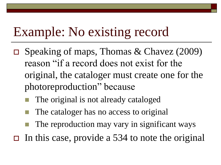# Example: No existing record

- $\Box$  Speaking of maps, Thomas & Chavez (2009) reason "if a record does not exist for the original, the cataloger must create one for the photoreproduction" because
	- The original is not already cataloged
	- The cataloger has no access to original
	- The reproduction may vary in significant ways
- $\Box$  In this case, provide a 534 to note the original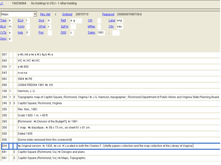

| 007              |              | a ≢bj≢da ≢e a ≢fz ≢g b ≢h a                                                                                                                                    |
|------------------|--------------|----------------------------------------------------------------------------------------------------------------------------------------------------------------|
| 040              |              | VIC #: VIC #d VIC                                                                                                                                              |
| $034 - 1$        |              | $a$ #b 600                                                                                                                                                     |
| 043              |              | n-us-va                                                                                                                                                        |
| 052              |              | 3884 #b R5                                                                                                                                                     |
| 090 <sub>1</sub> |              | G3884.R5E644 1961 #b .H3                                                                                                                                       |
| $100 - 1$        |              | Harrison, J. G.                                                                                                                                                |
| $245 - 1$        | $\theta$     | Topographic map of Capitol Square, Richmond, Virginia / ‡c J.G. Harrison, topographer ; Richmond Department of Public Works and Virginia State Planning Board. |
| $246 \quad 3$    | $\theta$     | Capitol Square, Richmond, Virginia                                                                                                                             |
| 250              |              | Rev. Nov., 1961.                                                                                                                                               |
| 255              |              | Scale 1:600, 1 in, = 50 ft,                                                                                                                                    |
| 260              |              | [Richmond : #b Division of the Budget?], #c 1961.                                                                                                              |
| 300 <sub>1</sub> |              | 1 map : #b diazotype ; #c 56 x 73 cm., on sheet 61 x 81 cm.                                                                                                    |
| 500              |              | Dated 1935.                                                                                                                                                    |
| 500              |              | [Some notes removed from this screenshot]                                                                                                                      |
| <b>634</b>       |              | ‡p Original version: ‡c 1935, ‡e col. #I Located in both the Charles F. Gillette papers collection and the map collection at the Library of Virginia.          |
| 651              | $\mathbf{0}$ | Capitol Square (Richmond, Va.) # Designs and plans.                                                                                                            |
| 651              | $\mathbf{0}$ | Capitol Square (Richmond, Va.) # Maps, Topographic.                                                                                                            |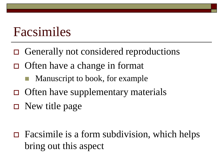#### Facsimiles

- □ Generally not considered reproductions
- $\Box$  Often have a change in format
	- Manuscript to book, for example
- $\Box$  Often have supplementary materials
- $\Box$  New title page

 $\Box$  Facsimile is a form subdivision, which helps bring out this aspect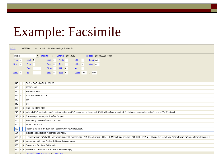#### Example: Facsimile

| <b>OCLC</b>   |                | 60683966<br>Held by OSU - 14 other holdings; 2 other IRs                                                                                                                                                                 |  |  |  |  |
|---------------|----------------|--------------------------------------------------------------------------------------------------------------------------------------------------------------------------------------------------------------------------|--|--|--|--|
| Books         |                | $\blacktriangledown$<br>Rec stat<br>20050616<br>Replaced 20080603234008.8<br>Entered<br>$\mathfrak{c}$                                                                                                                   |  |  |  |  |
| Type a        |                | $E[V]$ 4<br>C <sub>tr1</sub><br>Srce<br>$^{\circ}$ C<br>Audn<br>Lang rus                                                                                                                                                 |  |  |  |  |
| BLvI m        |                | Cont 0<br>Biog<br>MRec o<br><b>Form</b><br>Ctry ru                                                                                                                                                                       |  |  |  |  |
|               |                | Cont b<br>GPub<br>$LitE = 0$<br>Indx<br>$\vert$ 1                                                                                                                                                                        |  |  |  |  |
| Desc a        |                | Dates 2005<br>$\overline{0}$<br>DtSt r<br>1890<br>IIIs<br><b>Fest</b><br>$\mathcal{L}$                                                                                                                                   |  |  |  |  |
|               |                |                                                                                                                                                                                                                          |  |  |  |  |
|               |                |                                                                                                                                                                                                                          |  |  |  |  |
| 040           |                | COO ‡c COO ‡d CGU ‡d OCLCG                                                                                                                                                                                               |  |  |  |  |
| 020           |                | 6860074360                                                                                                                                                                                                               |  |  |  |  |
| 020           |                | 9785860074361                                                                                                                                                                                                            |  |  |  |  |
| 029 1         |                | AU@ #b 000041201279                                                                                                                                                                                                      |  |  |  |  |
| 042           |                | pcc                                                                                                                                                                                                                      |  |  |  |  |
| 043           |                | e-ur-                                                                                                                                                                                                                    |  |  |  |  |
| 050           | $\overline{4}$ | BX581 #b .M377 2005                                                                                                                                                                                                      |  |  |  |  |
| 2450          |                | 0 Material dlifa" istoriko-topograficheskogo issledovaniifa" o pravoslavnykh monastyrifa"kh v Rossiiskoi imperii: #b (s bibliograficheskim ukazatelem) / #c sost, V.V. Zverinskii.                                       |  |  |  |  |
| $246 \quad 1$ |                | 4 Pravoslavnye monastyri v Rossijskoj imperij                                                                                                                                                                            |  |  |  |  |
| 260           |                | S-Peterburg : #b Dmitril Bulanin, #c 2005.                                                                                                                                                                               |  |  |  |  |
| 300           |                | 3 v. in 1 ; ‡c 26 cm.                                                                                                                                                                                                    |  |  |  |  |
| 600           |                | Facsimile reprint of the 1890-1897 edition with a new introduction.                                                                                                                                                      |  |  |  |  |
| 504           |                | Includes bibliographical references and index.                                                                                                                                                                           |  |  |  |  |
| 5050          |                | 1. Preobrazovaniifa" starykh i uchrezhdenie novykh monastyrei s 1764-95 po liifu"nia 1890 g. - 2. Monastyri po shtatam 1764, 1786 i 1795 g. - 3. Monastyri zakrytye do t's ar-stvovaniifa" imperatrit's 'y Ekateriny II. |  |  |  |  |
| 650           |                | 0 Monasteries, Orthodox Eastern #z Russia #v Guidebooks.                                                                                                                                                                 |  |  |  |  |
| 650           |                | 0 Convents +z Russia +v Guidebooks.                                                                                                                                                                                      |  |  |  |  |
|               |                | 610 2 0 Russkaifa" pravoslavnaifa" t"s" erkov' #v Bibliography.                                                                                                                                                          |  |  |  |  |
| $700 - 1$     |                | Zverinskil Vasilii Vasilfevich +d 1834-1893                                                                                                                                                                              |  |  |  |  |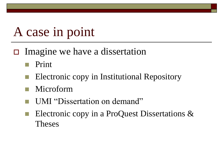### A case in point

- $\Box$  Imagine we have a dissertation
	- Print
	- Electronic copy in Institutional Repository
	- Microform
	- UMI "Dissertation on demand"
	- Electronic copy in a ProQuest Dissertations & Theses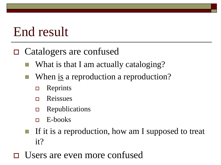# End result

#### Catalogers are confused

- What is that I am actually cataloging?
- When <u>is</u> a reproduction a reproduction?
	- $\Box$  Reprints
	- **D** Reissues
	- **Example 25 Exercise Exercise** E
	- $E$ -books
- If it is a reproduction, how am I supposed to treat it?
- Users are even more confused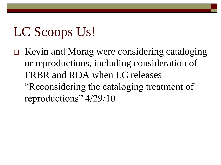# LC Scoops Us!

 Kevin and Morag were considering cataloging or reproductions, including consideration of FRBR and RDA when LC releases "Reconsidering the cataloging treatment of reproductions" 4/29/10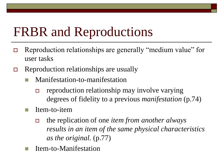# FRBR and Reproductions

- Reproduction relationships are generally "medium value" for user tasks
- $\Box$  Reproduction relationships are usually
	- Manifestation-to-manifestation
		- reproduction relationship may involve varying degrees of fidelity to a previous *manifestation* (p.74)
	- Item-to-item
		- the replication of one *item from another always results in an item of the same physical characteristics as the original.* (p.77)
	- Item-to-Manifestation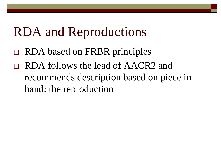# RDA and Reproductions

- RDA based on FRBR principles
- RDA follows the lead of AACR2 and recommends description based on piece in hand: the reproduction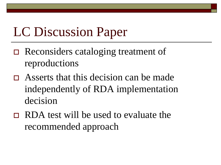# LC Discussion Paper

- □ Reconsiders cataloging treatment of reproductions
- Asserts that this decision can be made independently of RDA implementation decision
- RDA test will be used to evaluate the recommended approach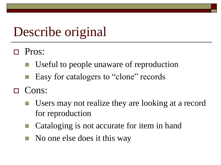# Describe original

- Pros:
	- Useful to people unaware of reproduction
	- Easy for catalogers to "clone" records
- Cons:
	- Users may not realize they are looking at a record for reproduction
	- Cataloging is not accurate for item in hand
	- No one else does it this way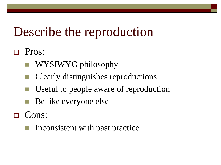# Describe the reproduction

- Pros:
	- WYSIWYG philosophy
	- Clearly distinguishes reproductions
	- Useful to people aware of reproduction
	- Be like everyone else
- □ Cons:
	- Inconsistent with past practice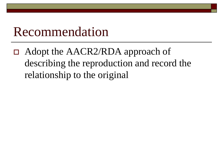#### Recommendation

 Adopt the AACR2/RDA approach of describing the reproduction and record the relationship to the original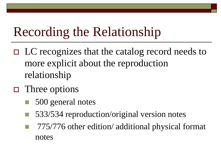# Recording the Relationship

- $\Box$  LC recognizes that the catalog record needs to more explicit about the reproduction relationship
- $\Box$  Three options
	- 500 general notes
	- 533/534 reproduction/original version notes
	- 775/776 other edition/ additional physical format notes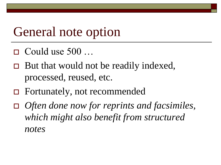#### General note option

- $\Box$  Could use 500 ...
- $\Box$  But that would not be readily indexed, processed, reused, etc.
- Fortunately, not recommended
- *Often done now for reprints and facsimiles, which might also benefit from structured notes*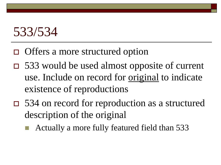### 533/534

- □ Offers a more structured option
- 533 would be used almost opposite of current use. Include on record for original to indicate existence of reproductions
- 534 on record for reproduction as a structured description of the original
	- Actually a more fully featured field than 533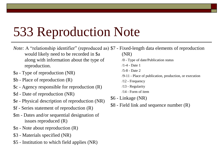## 533 Reproduction Note

- *Note:* A "relationship identifier" (reproduced as) \$7 Fixed-length data elements of reproduction would likely need to be recorded in \$a along with information about the type of reproduction. (NR) /0 - Type of date/Publication status /1-4 - Date 1
- \$a Type of reproduction (NR)
- \$b Place of reproduction (R)
- \$c Agency responsible for reproduction (R)
- \$d Date of reproduction (NR)
- \$e Physical description of reproduction (NR)
- \$f Series statement of reproduction (R)
- \$m Dates and/or sequential designation of issues reproduced (R)
- \$n Note about reproduction (R)
- \$3 Materials specified (NR)
- \$5 Institution to which field applies (NR)
- /5-8 Date 2
- /9-11 Place of publication, production, or execution
- /12 Frequency
- /13 Regularity
- /14 Form of item
- \$6 Linkage (NR)
- \$8 Field link and sequence number (R)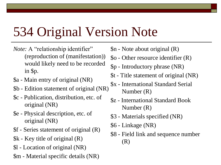# 534 Original Version Note

- *Note:* A "relationship identifier" (reproduction of (manifestation)) would likely need to be recorded in \$p.
- \$a Main entry of original (NR)
- \$b Edition statement of original (NR)
- \$c Publication, distribution, etc. of original (NR)
- \$e Physical description, etc. of original (NR)
- \$f Series statement of original (R)
- \$k Key title of original (R)
- \$l Location of original (NR)
- \$m Material specific details (NR)
- \$n Note about original (R)
- \$o Other resource identifier (R)
- \$p Introductory phrase (NR)
- \$t Title statement of original (NR)
- \$x International Standard Serial Number (R)
- \$z International Standard Book Number (R)
- \$3 Materials specified (NR)
- \$6 Linkage (NR)
- \$8 Field link and sequence number (R)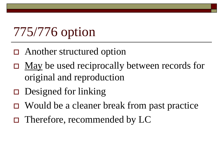# 775/776 option

- □ Another structured option
- $\Box$  May be used reciprocally between records for original and reproduction
- $\Box$  Designed for linking
- $\Box$  Would be a cleaner break from past practice
- Therefore, recommended by LC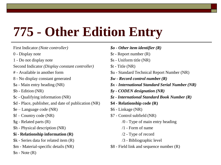# **775** - **Other Edition Entry**

First Indicator *(Note controller)* 

- 0 Display note
- 1 Do not display note
- Second Indicator *(Display constant controller)*
- # Available in another form
- 8 No display constant generated
- \$a Main entry heading (NR)
- \$b Edition (NR)
- \$c Qualifying information (NR)
- \$d Place, publisher, and date of publication (NR)
- \$e Language code (NR)
- \$f Country code (NR)
- \$g Related parts (R)
- \$h Physical description (NR)
- **\$i - Relationship information (R)**
- \$k Series data for related item (R)
- \$m Material-specific details (NR)
- $\mathcal{S}_n$  Note  $(R)$

*\$o - Other item identifier (R)*  \$r - Report number (R) \$s - Uniform title (NR) \$t - Title (NR) \$u - Standard Technical Report Number (NR) *\$w - Record control number (R) \$x - International Standard Serial Number (NR) \$y - CODEN designation (NR) \$z - International Standard Book Number (R)*  **\$4 - Relationship code (R)**  \$6 - Linkage (NR) \$7 - Control subfield (NR) /0 - Type of main entry heading /1 - Form of name /2 - Type of record /3 - Bibliographic level \$8 - Field link and sequence number (R)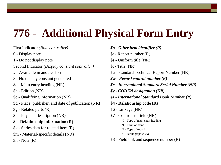#### **776** - **Additional Physical Form Entry**

First Indicator *(Note controller)* 

- 0 Display note
- 1 Do not display note
- Second Indicator *(Display constant controller)*
- # Available in another form
- 8 No display constant generated
- \$a Main entry heading (NR)
- \$b Edition (NR)
- \$c Qualifying information (NR)
- \$d Place, publisher, and date of publication (NR)
- \$g Related parts (R)
- \$h Physical description (NR)

#### **\$i - Relationship information (R)**

- \$k Series data for related item (R)
- \$m Material-specific details (NR)

 $\text{\$n}$  - Note  $(R)$ 

- *\$o - Other item identifier (R)*  \$r - Report number (R) \$s - Uniform title (NR) \$t - Title (NR) \$u - Standard Technical Report Number (NR) *\$w - Record control number (R) \$x - International Standard Serial Number (NR) \$y - CODEN designation (NR) \$z - International Standard Book Number (R)*  **\$4 - Relationship code (R)**  \$6 - Linkage (NR) \$7 - Control subfield (NR) /0 - Type of main entry heading /1 - Form of name /2 - Type of record /3 - Bibliographic level
	- \$8 Field link and sequence number (R)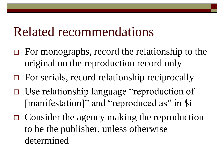#### Related recommendations

- $\Box$  For monographs, record the relationship to the original on the reproduction record only
- For serials, record relationship reciprocally
- Use relationship language "reproduction of [manifestation]" and "reproduced as" in \$i
- $\Box$  Consider the agency making the reproduction to be the publisher, unless otherwise determined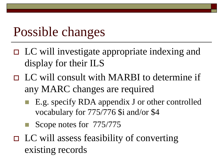# Possible changes

- LC will investigate appropriate indexing and display for their ILS
- □ LC will consult with MARBI to determine if any MARC changes are required
	- E.g. specify RDA appendix J or other controlled vocabulary for 775/776 \$i and/or \$4
	- Scope notes for 775/775
- $\Box$  LC will assess feasibility of converting existing records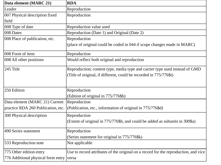| Data element (MARC 21)             | <b>RDA</b>                                                                          |
|------------------------------------|-------------------------------------------------------------------------------------|
| Leader                             | Reproduction                                                                        |
| 007 Physical description fixed     | Reproduction                                                                        |
| field                              |                                                                                     |
| 008 Type of date                   | Reproduction value used                                                             |
| 008 Dates                          | Reproduction (Date 1) and Original (Date 2)                                         |
| 008 Place of publication, etc.     | Reproduction                                                                        |
|                                    | (place of original could be coded in 044 if scope changes made in MARC)             |
| 008 Form of item                   | Reproduction                                                                        |
| 008 All other positions            | Would reflect both original and reproduction                                        |
| 245 Title                          | Reproduction; content type, media type and carrier type used instead of GMD         |
|                                    | (Title of original, if different, could be recorded in 775/776\$t)                  |
|                                    |                                                                                     |
| 250 Edition                        | Reproduction                                                                        |
|                                    | (Edition of original in 775/776\$b)                                                 |
| Data element (MARC 21) Current     | Reproduction                                                                        |
| practice RDA 260 Publication, etc. | (Publication, etc., information of original in 775/776\$d)                          |
| 300 Physical description           | Reproduction                                                                        |
|                                    | (Extent of original in 775/776\$h, and could be added as subunits in 300\$a)        |
| 490 Series statement               | Reproduction                                                                        |
|                                    | (Series statement for original in 775/776\$k)                                       |
| 533 Reproduction note              | Not applicable                                                                      |
| 775 Other edition entry            | Use to record attributes of the original on a record for the reproduction, and vice |
| 776 Additional physical form entry | versa                                                                               |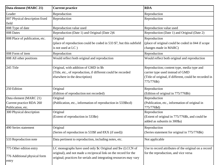| Data element (MARC 21)                        | <b>Current practice</b>                                                                                                                 | <b>RDA</b>                                                                                                                                              |
|-----------------------------------------------|-----------------------------------------------------------------------------------------------------------------------------------------|---------------------------------------------------------------------------------------------------------------------------------------------------------|
| Leader                                        | Reproduction                                                                                                                            | Reproduction                                                                                                                                            |
| 007 Physical description fixed<br>field       | Reproduction                                                                                                                            | Reproduction                                                                                                                                            |
| 008 Type of date                              | Reproduction value used                                                                                                                 | Reproduction value used                                                                                                                                 |
| 008 Dates                                     | Reproduction (Date 1) and Original (Date 2)6                                                                                            | Reproduction (Date 1) and Original (Date 2)                                                                                                             |
| 008 Place of publication, etc.                | Original<br>(place of reproduction could be coded in 533 \$7, but this subfield<br>is not used at LC)                                   | Reproduction<br>(place of original could be coded in 044 if scope<br>changes made in MARC)                                                              |
| 008 Form of item                              | Reproduction                                                                                                                            | Reproduction                                                                                                                                            |
| 008 All other positions                       | Would reflect both original and reproduction                                                                                            | Would reflect both original and reproduction                                                                                                            |
| 245 Title                                     | Original, with addition of GMD in \$h<br>(Title, etc., of reproduction, if different could be recorded<br>elsewhere in the description) | Reproduction; content type, media type and<br>carrier type used instead of GMD<br>(Title of original, if different, could be recorded in<br>775/776\$t) |
| 250 Edition                                   | Original                                                                                                                                | Reproduction                                                                                                                                            |
|                                               | (Edition of reproduction not recorded)                                                                                                  | (Edition of original in 775/776\$b)                                                                                                                     |
| Data element (MARC 21)                        | Original                                                                                                                                | Reproduction                                                                                                                                            |
| Current practice RDA 260<br>Publication, etc. | (Publication, etc., information of reproduction in 533\$bcd)                                                                            | (Publication, etc., information of original in<br>775/776\$d)                                                                                           |
| 300 Physical description                      | Original<br>(Extent of reproduction in 533\$e)                                                                                          | Reproduction<br>(Extent of original in 775/776\$h, and could be<br>added as subunits in 300\$a)                                                         |
| 490 Series statement                          | Original<br>(Series of reproduction in 533\$f and 8XX (if used))                                                                        | Reproduction<br>(Series statement for original in 775/776\$k)                                                                                           |
| 533 Reproduction note                         | Data pertinent to reproduction, including notes, etc.                                                                                   | Not applicable                                                                                                                                          |
| 775 Other edition entry                       | LC monographs have used only \$c Original and \$w (LCCN of                                                                              | Use to record attributes of the original on a record                                                                                                    |
| 776 Additional physical form<br>entry         | original), and not made a reciprocal link on the record for the<br>original; practices for serials and integrating resources may vary   | for the reproduction, and vice versa                                                                                                                    |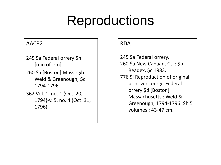# Reproductions

#### AACR2

Example

- [I will add later] 245 \$a Federal orrery \$h [microform].
	- 260 \$a [Boston] Mass : \$b Weld & Greenough, \$c 1794-1796.

362 Vol. 1, no. 1 (Oct. 20, 1794)-v. 5, no. 4 (Oct. 31, 1796).

#### RDA

245 \$a Federal orrery. 260 \$a New Canaan, Ct. : \$b Readex, \$c 1983. 776 \$i Reproduction of original print version: \$t Federal orrery \$d [Boston] Massachusetts : Weld & Greenough, 1794-1796. \$h 5 volumes ; 43-47 cm.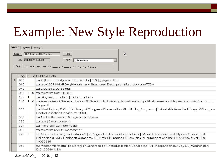# Example: New Style Reproduction

|               | MARC   System   History |          |                                                                                                                                                                                                                                                      |  |  |  |  |  |  |  |  |
|---------------|-------------------------|----------|------------------------------------------------------------------------------------------------------------------------------------------------------------------------------------------------------------------------------------------------------|--|--|--|--|--|--|--|--|
|               | Leader<br>008           |          | $\mathbb{Z}$<br>01313cam a2200241 i 4500<br>006<br>005: 20100401102550.0<br>007   h:dlafa--baca<br>100309 r 1993 1886 dcu _____ a _____ 0 0 0 _ 0 _ eng ___                                                                                          |  |  |  |  |  |  |  |  |
|               | Tag                     | 11       | 12 Subfield Data                                                                                                                                                                                                                                     |  |  |  |  |  |  |  |  |
| $\rightarrow$ | 906                     |          | ta 7 tb cbc tc orignew td u te ncip tf 19 tg y-genmicro                                                                                                                                                                                              |  |  |  |  |  |  |  |  |
|               | 010                     |          | ‡a tes93627144 -RDA (Identifier and Structured Description (Reproduction-776)).                                                                                                                                                                      |  |  |  |  |  |  |  |  |
|               | 040                     |          | ‡a DLC ‡c DLC ‡e rda                                                                                                                                                                                                                                 |  |  |  |  |  |  |  |  |
|               | 050                     | $\Theta$ | 0 ‡a Microfilm 93/4610 (E)                                                                                                                                                                                                                           |  |  |  |  |  |  |  |  |
|               | 100                     |          | ‡a Ringwalt, J. Luther ‡q (John Luther)                                                                                                                                                                                                              |  |  |  |  |  |  |  |  |
|               | 245                     |          | 0 ‡a Anecdotes of General Ulysses S. Grant: ‡b illustrating his military and political career and his personal traits / ‡c by J.L.<br>Ringwalt.                                                                                                      |  |  |  |  |  |  |  |  |
|               | 260                     |          | ‡a Washington, D.C.: ‡b Library of Congress Preservation Microfilming Program: ‡b Available from the Library of Congress<br>Photoduplication Service, ‡c 1993.                                                                                       |  |  |  |  |  |  |  |  |
|               | 300                     |          | ta 1 microfilm reel (118 pages); to 35 mm.                                                                                                                                                                                                           |  |  |  |  |  |  |  |  |
|               | 336                     |          | ‡a text ‡2 marccontent                                                                                                                                                                                                                               |  |  |  |  |  |  |  |  |
|               | 337                     |          | ‡a microform ‡2 marcmedia                                                                                                                                                                                                                            |  |  |  |  |  |  |  |  |
|               | 338                     |          | ‡a microfilm reel ‡2 marccarrier                                                                                                                                                                                                                     |  |  |  |  |  |  |  |  |
|               | 776                     | $\Omega$ | ‡i Reproduction of (manifestation): ‡a Ringwalt, J. Luther (John Luther) ‡t Anecdotes of General Ulysses S. Grant ‡d<br>Philadelphia: J.B. Lippincott Company, 1886 ‡h 118 pages ; 18 cm. ‡n Call number of original: E672.R58. ‡w (DLC)<br>10032685 |  |  |  |  |  |  |  |  |
|               | 852                     |          | ‡3 Master microform: ‡a Library of Congress ‡b Photoduplication Service ‡e 101 Independence Ave., SE, Washington,<br>D.C. 20540 USA                                                                                                                  |  |  |  |  |  |  |  |  |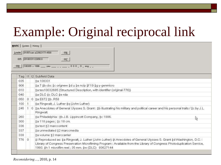# Example: Original reciprocal link

| MARC   System   History                   |                                                                                                                                                                                                                                                                                                         |  |  |  |  |  |  |  |  |
|-------------------------------------------|---------------------------------------------------------------------------------------------------------------------------------------------------------------------------------------------------------------------------------------------------------------------------------------------------------|--|--|--|--|--|--|--|--|
| 01057cam a22002177i 4500<br>006<br>Leader |                                                                                                                                                                                                                                                                                                         |  |  |  |  |  |  |  |  |
| 005: 20100331122650.0<br>$00\frac{7}{2}$  |                                                                                                                                                                                                                                                                                                         |  |  |  |  |  |  |  |  |
| 008                                       | 100309 s 1886 pau 000 0 eng                                                                                                                                                                                                                                                                             |  |  |  |  |  |  |  |  |
|                                           |                                                                                                                                                                                                                                                                                                         |  |  |  |  |  |  |  |  |
| 11 12 Subfield Data<br>Tag                |                                                                                                                                                                                                                                                                                                         |  |  |  |  |  |  |  |  |
| 035<br>‡a 108331                          |                                                                                                                                                                                                                                                                                                         |  |  |  |  |  |  |  |  |
| 906                                       | ta 7 tb cbc tc orignew td u te ncip tf 19 tg y-genmicro                                                                                                                                                                                                                                                 |  |  |  |  |  |  |  |  |
| 010                                       | ‡a tes10032685 (Structured Description, with identifier (original-776))                                                                                                                                                                                                                                 |  |  |  |  |  |  |  |  |
| 040                                       | ta DLC tc DLC te rda                                                                                                                                                                                                                                                                                    |  |  |  |  |  |  |  |  |
| 0 0 ta E672 tb.R58<br>050                 |                                                                                                                                                                                                                                                                                                         |  |  |  |  |  |  |  |  |
| 100                                       | ‡a Ringwalt, J. Luther ‡q (John Luther)                                                                                                                                                                                                                                                                 |  |  |  |  |  |  |  |  |
| 245                                       | 0 ‡a Anecdotes of General Ulysses S. Grant: ‡b illustrating his military and political career and his personal traits / ‡c by J.L.<br>Ringwalt.                                                                                                                                                         |  |  |  |  |  |  |  |  |
| 260                                       | ta Philadelphia : tb J.B. Lippincott Company, tc 1886.                                                                                                                                                                                                                                                  |  |  |  |  |  |  |  |  |
| 300                                       | ‡a 118 pages; ‡c 18 cm.                                                                                                                                                                                                                                                                                 |  |  |  |  |  |  |  |  |
| 336                                       | ‡a text ‡2 marccontent                                                                                                                                                                                                                                                                                  |  |  |  |  |  |  |  |  |
| 337                                       | ‡a unmediated ‡2 marccmedia                                                                                                                                                                                                                                                                             |  |  |  |  |  |  |  |  |
| 338                                       | ‡a volume ‡2 marccarrier                                                                                                                                                                                                                                                                                |  |  |  |  |  |  |  |  |
| $\Omega$<br>776                           | ‡i Reproduced as: ‡a Ringwalt, J. Luther (John Luther) ‡t Anecdotes of General Ulysses S. Grant ‡d Washington, D.C.:<br>Library of Congress Preservation Microfilming Program : Available from the Library of Congress Photoduplication Service,<br>1993. ‡h 1 microfilm reel; 35 mm. ‡w (DLC) 93627144 |  |  |  |  |  |  |  |  |
|                                           |                                                                                                                                                                                                                                                                                                         |  |  |  |  |  |  |  |  |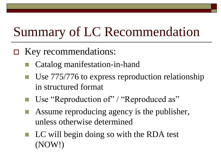# Summary of LC Recommendation

- □ Key recommendations:
	- Catalog manifestation-in-hand
	- Use 775/776 to express reproduction relationship in structured format
	- Use "Reproduction of" / "Reproduced as"
	- Assume reproducing agency is the publisher, unless otherwise determined
	- $\blacksquare$  LC will begin doing so with the RDA test (NOW!)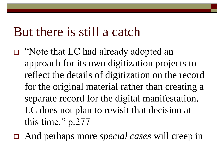#### But there is still a catch

- □ "Note that LC had already adopted an approach for its own digitization projects to reflect the details of digitization on the record for the original material rather than creating a separate record for the digital manifestation. LC does not plan to revisit that decision at this time." p.277
- And perhaps more *special cases* will creep in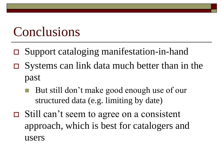#### Conclusions

- Support cataloging manifestation-in-hand
- $\Box$  Systems can link data much better than in the past
	- But still don't make good enough use of our structured data (e.g. limiting by date)
- Still can't seem to agree on a consistent approach, which is best for catalogers and users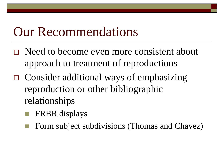#### Our Recommendations

- □ Need to become even more consistent about approach to treatment of reproductions
- Consider additional ways of emphasizing reproduction or other bibliographic relationships
	- FRBR displays
	- Form subject subdivisions (Thomas and Chavez)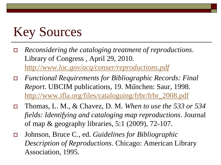# Key Sources

- *Reconsidering the cataloging treatment of reproductions*. Library of Congress , April 29, 2010. [http://](http://www.loc.gov/acq/conser/reproductions.pdf)*[www.loc.gov/acq/conser/reproductions.pdf](http://www.loc.gov/acq/conser/reproductions.pdf)*
- *Functional Requirements for Bibliographic Records: Final Report*. UBCIM publications, 19. München: Saur, 1998. [http://www.ifla.org/files/cataloguing/frbr/frbr\\_2008.pdf](http://www.ifla.org/files/cataloguing/frbr/frbr_2008.pdf)
- Thomas, L. M., & Chavez, D. M. *When to use the 533 or 534 fields: Identifying and cataloging map reproductions*. Journal of map & geography libraries, 5:1 (2009), 72-107.
- Johnson, Bruce C., ed. *Guidelines for Bibliographic Description of Reproductions*. Chicago: American Library Association, 1995.